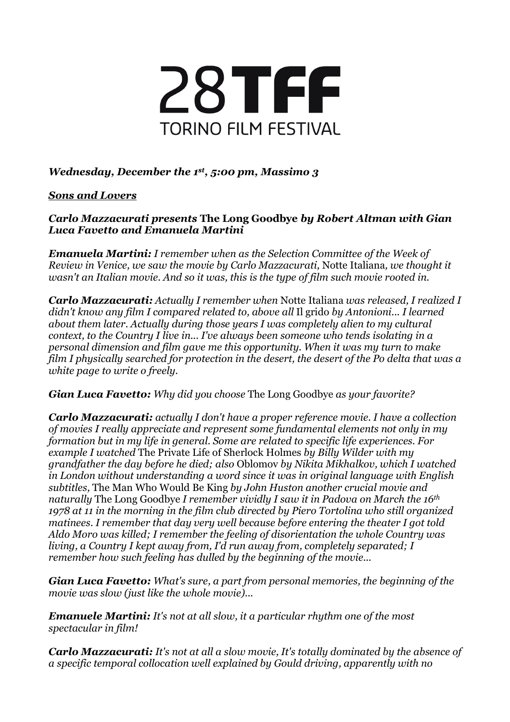

## *Wednesday, December the 1st, 5:00 pm, Massimo 3*

## *Sons and Lovers*

## *Carlo Mazzacurati presents* **The Long Goodbye** *by Robert Altman with Gian Luca Favetto and Emanuela Martini*

*Emanuela Martini: I remember when as the Selection Committee of the Week of Review in Venice, we saw the movie by Carlo Mazzacurati,* Notte Italiana*, we thought it wasn't an Italian movie. And so it was, this is the type of film such movie rooted in.*

*Carlo Mazzacurati: Actually I remember when* Notte Italiana *was released, I realized I didn't know any film I compared related to, above all* Il grido *by Antonioni... I learned about them later. Actually during those years I was completely alien to my cultural context, to the Country I live in... I've always been someone who tends isolating in a personal dimension and film gave me this opportunity. When it was my turn to make film I physically searched for protection in the desert, the desert of the Po delta that was a white page to write o freely.*

*Gian Luca Favetto: Why did you choose* The Long Goodbye *as your favorite?*

*Carlo Mazzacurati: actually I don't have a proper reference movie. I have a collection of movies I really appreciate and represent some fundamental elements not only in my formation but in my life in general. Some are related to specific life experiences. For example I watched* The Private Life of Sherlock Holmes *by Billy Wilder with my grandfather the day before he died; also* Oblomov *by Nikita Mikhalkov, which I watched in London without understanding a word since it was in original language with English subtitles,* The Man Who Would Be King *by John Huston another crucial movie and naturally* The Long Goodbye *I remember vividly I saw it in Padova on March the 16th 1978 at 11 in the morning in the film club directed by Piero Tortolina who still organized matinees. I remember that day very well because before entering the theater I got told Aldo Moro was killed; I remember the feeling of disorientation the whole Country was living, a Country I kept away from, I'd run away from, completely separated; I remember how such feeling has dulled by the beginning of the movie...*

*Gian Luca Favetto: What's sure, a part from personal memories, the beginning of the movie was slow (just like the whole movie)...*

*Emanuele Martini: It's not at all slow, it a particular rhythm one of the most spectacular in film!*

*Carlo Mazzacurati: It's not at all a slow movie, It's totally dominated by the absence of a specific temporal collocation well explained by Gould driving, apparently with no*